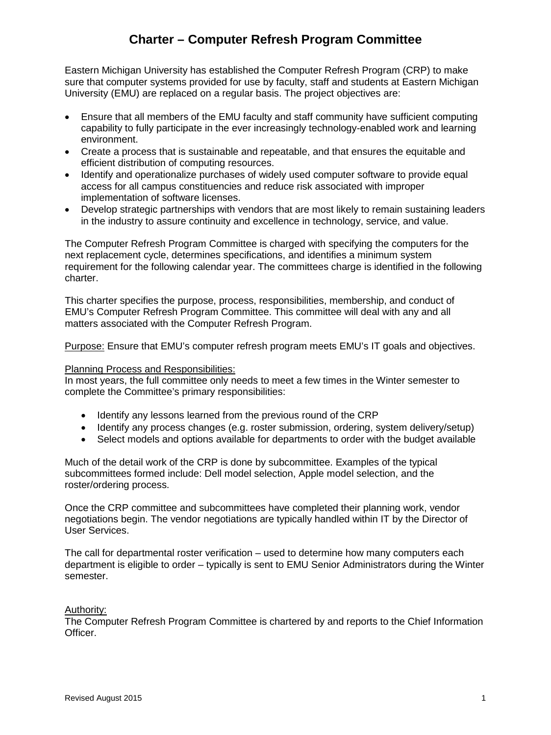## **Charter – Computer Refresh Program Committee**

Eastern Michigan University has established the Computer Refresh Program (CRP) to make sure that computer systems provided for use by faculty, staff and students at Eastern Michigan University (EMU) are replaced on a regular basis. The project objectives are:

- Ensure that all members of the EMU faculty and staff community have sufficient computing capability to fully participate in the ever increasingly technology-enabled work and learning environment.
- Create a process that is sustainable and repeatable, and that ensures the equitable and efficient distribution of computing resources.
- Identify and operationalize purchases of widely used computer software to provide equal access for all campus constituencies and reduce risk associated with improper implementation of software licenses.
- Develop strategic partnerships with vendors that are most likely to remain sustaining leaders in the industry to assure continuity and excellence in technology, service, and value.

The Computer Refresh Program Committee is charged with specifying the computers for the next replacement cycle, determines specifications, and identifies a minimum system requirement for the following calendar year. The committees charge is identified in the following charter.

This charter specifies the purpose, process, responsibilities, membership, and conduct of EMU's Computer Refresh Program Committee. This committee will deal with any and all matters associated with the Computer Refresh Program.

Purpose: Ensure that EMU's computer refresh program meets EMU's IT goals and objectives.

#### Planning Process and Responsibilities:

In most years, the full committee only needs to meet a few times in the Winter semester to complete the Committee's primary responsibilities:

- Identify any lessons learned from the previous round of the CRP
- Identify any process changes (e.g. roster submission, ordering, system delivery/setup)
- Select models and options available for departments to order with the budget available

Much of the detail work of the CRP is done by subcommittee. Examples of the typical subcommittees formed include: Dell model selection, Apple model selection, and the roster/ordering process.

Once the CRP committee and subcommittees have completed their planning work, vendor negotiations begin. The vendor negotiations are typically handled within IT by the Director of User Services.

The call for departmental roster verification – used to determine how many computers each department is eligible to order – typically is sent to EMU Senior Administrators during the Winter semester.

### Authority:

The Computer Refresh Program Committee is chartered by and reports to the Chief Information Officer.